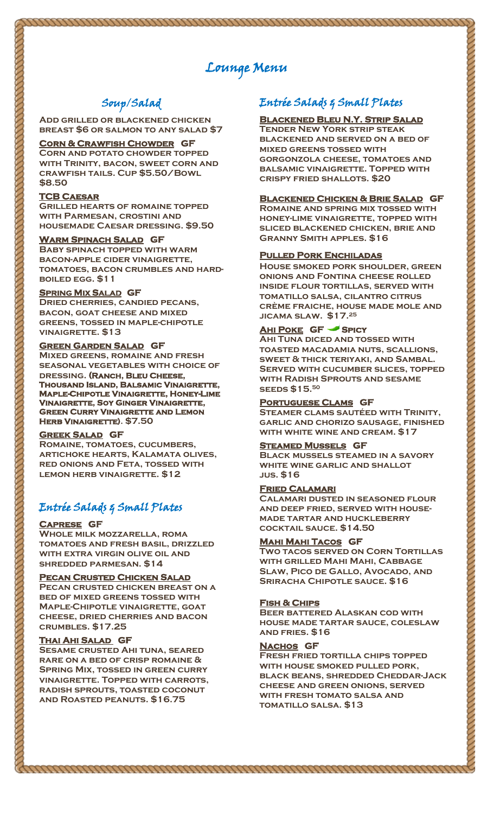# Lounge Menu

# Soup/Salad

**Add grilled or blackened chicken breast \$6 or salmon to any salad \$7**

### **Corn & Crawfish Chowder GF**

**Corn and potato chowder topped with Trinity, bacon, sweet corn and crawfish tails. Cup \$5.50/Bowl \$8.50**

#### **TCB Caesar**

**Grilled hearts of romaine topped with Parmesan, crostini and housemade Caesar dressing. \$9.50** 

#### **Warm Spinach Salad GF**

**Baby spinach topped with warm bacon-apple cider vinaigrette, tomatoes, bacon crumbles and hardboiled egg. \$11**

#### **SPRING MIX SALAD GF**

**Dried cherries, candied pecans, bacon, goat cheese and mixed greens, tossed in maple-chipotle vinaigrette. \$13** 

### **Green Garden Salad GF**

**Mixed greens, romaine and fresh seasonal vegetables with choice of dressing. (Ranch, Bleu Cheese, Thousand Island, Balsamic Vinaigrette, Maple-Chipotle Vinaigrette, Honey-Lime Vinaigrette, Soy Ginger Vinaigrette, GREEN CURRY VINAIGRETTE AND LEMON Herb Vinaigrette). \$7.50**

#### **Greek Salad GF**

**Romaine, tomatoes, cucumbers, artichoke hearts, Kalamata olives, red onions and Feta, tossed with lemon herb vinaigrette. \$12**

# Entrée Salads & Small Plates

#### **Caprese GF**

**Whole milk mozzarella, roma tomatoes and fresh basil, drizzled with extra virgin olive oil and shredded parmesan. \$14** 

#### **Pecan Crusted Chicken Salad**

**Pecan crusted chicken breast on a bed of mixed greens tossed with Maple-Chipotle vinaigrette, goat cheese, dried cherries and bacon crumbles. \$17.25**

#### **Thai Ahi Salad GF**

**Sesame crusted Ahi tuna, seared rare on a bed of crisp romaine & Spring Mix, tossed in green curry vinaigrette. Topped with carrots, radish sprouts, toasted coconut and Roasted peanuts. \$16.75**

# Entrée Salads & Small Plates

### **Blackened Bleu N.Y. Strip Salad**

**Tender New York strip steak blackened and served on a bed of mixed greens tossed with gorgonzola cheese, tomatoes and balsamic vinaigrette. Topped with crispy fried shallots. \$20**

### **Blackened Chicken & Brie Salad GF**

**Romaine and spring mix tossed with honey-lime vinaigrette, topped with sliced blackened chicken, brie and Granny Smith apples. \$16**

#### **Pulled Pork Enchiladas**

**House smoked pork shoulder, green onions and Fontina cheese rolled inside flour tortillas, served with tomatillo salsa, cilantro citrus crème fraiche, house made mole and jicama slaw. \$17. 25**

# **Ahi Poke GF Spicy**

**Ahi Tuna diced and tossed with toasted macadamia nuts, scallions, sweet & thick teriyaki, and Sambal. Served with cucumber slices, topped with Radish Sprouts and sesame seeds \$15. 50**

## **Portuguese Clams GF**

**Steamer clams sautéed with Trinity, garlic and chorizo sausage, finished with white wine and cream. \$17**

#### **Steamed Mussels GF**

**Black mussels steamed in a savory white wine garlic and shallot jus. \$16**

### **Fried Calamari**

**Calamari dusted in seasoned flour and deep fried, served with housemade tartar and huckleberry cocktail sauce. \$14.50**

#### **Mahi Mahi Tacos GF**

**Two tacos served on Corn Tortillas with grilled Mahi Mahi, Cabbage Slaw, Pico de Gallo, Avocado, and Sriracha Chipotle sauce. \$16**

#### **Fish & Chips**

**Beer battered Alaskan cod with house made tartar sauce, coleslaw and fries. \$16**

#### **Nachos GF**

<u>nnmmmmmmmmmmmmmmmmmmmmmmm</u>

**Fresh fried tortilla chips topped with house smoked pulled pork, black beans, shredded Cheddar-Jack cheese and green onions, served with fresh tomato salsa and tomatillo salsa. \$13**